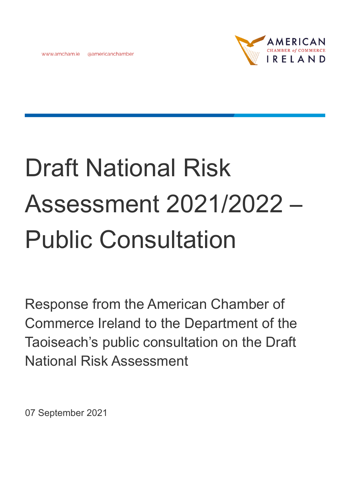www.amcham.ie @americanchamber



# Draft National Risk Assessment 2021/2022 – Public Consultation

Response from the American Chamber of Commerce Ireland to the Department of the Taoiseach's public consultation on the Draft National Risk Assessment

07 September 2021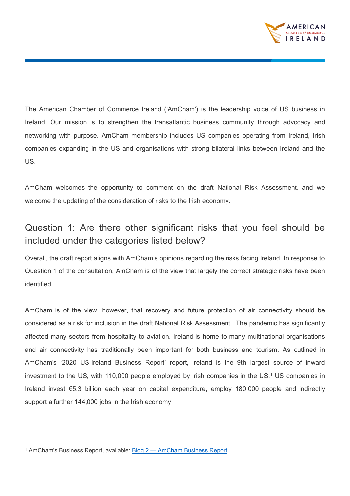

The American Chamber of Commerce Ireland ('AmCham') is the leadership voice of US business in Ireland. Our mission is to strengthen the transatlantic business community through advocacy and networking with purpose. AmCham membership includes US companies operating from Ireland, Irish companies expanding in the US and organisations with strong bilateral links between Ireland and the US.

AmCham welcomes the opportunity to comment on the draft National Risk Assessment, and we welcome the updating of the consideration of risks to the Irish economy.

## Question 1: Are there other significant risks that you feel should be included under the categories listed below?

Overall, the draft report aligns with AmCham's opinions regarding the risks facing Ireland. In response to Question 1 of the consultation, AmCham is of the view that largely the correct strategic risks have been identified.

AmCham is of the view, however, that recovery and future protection of air connectivity should be considered as a risk for inclusion in the draft National Risk Assessment. The pandemic has significantly affected many sectors from hospitality to aviation. Ireland is home to many multinational organisations and air connectivity has traditionally been important for both business and tourism. As outlined in AmCham's '2020 US-Ireland Business Report' report, Ireland is the 9th largest source of inward investment to the US, with 110,000 people employed by Irish companies in the US.<sup>1</sup> US companies in Ireland invest €5.3 billion each year on capital expenditure, employ 180,000 people and indirectly support a further 144,000 jobs in the Irish economy.

<sup>&</sup>lt;sup>1</sup> AmCham's Business Report, available: **Blog 2 — [AmCham Business Report](https://www.amchambusinessreport.com/economic-report)**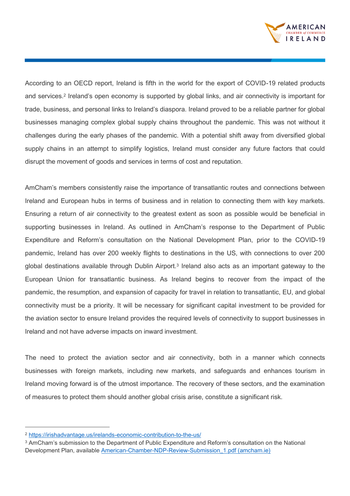

According to an OECD report, Ireland is fifth in the world for the export of COVID-19 related products and services.<sup>2</sup> Ireland's open economy is supported by global links, and air connectivity is important for trade, business, and personal links to Ireland's diaspora. Ireland proved to be a reliable partner for global businesses managing complex global supply chains throughout the pandemic. This was not without it challenges during the early phases of the pandemic. With a potential shift away from diversified global supply chains in an attempt to simplify logistics, Ireland must consider any future factors that could disrupt the movement of goods and services in terms of cost and reputation.

AmCham's members consistently raise the importance of transatlantic routes and connections between Ireland and European hubs in terms of business and in relation to connecting them with key markets. Ensuring a return of air connectivity to the greatest extent as soon as possible would be beneficial in supporting businesses in Ireland. As outlined in AmCham's response to the Department of Public Expenditure and Reform's consultation on the National Development Plan, prior to the COVID-19 pandemic, Ireland has over 200 weekly flights to destinations in the US, with connections to over 200 global destinations available through Dublin Airport.<sup>3</sup> Ireland also acts as an important gateway to the European Union for transatlantic business. As Ireland begins to recover from the impact of the pandemic, the resumption, and expansion of capacity for travel in relation to transatlantic, EU, and global connectivity must be a priority. It will be necessary for significant capital investment to be provided for the aviation sector to ensure Ireland provides the required levels of connectivity to support businesses in Ireland and not have adverse impacts on inward investment.

The need to protect the aviation sector and air connectivity, both in a manner which connects businesses with foreign markets, including new markets, and safeguards and enhances tourism in Ireland moving forward is of the utmost importance. The recovery of these sectors, and the examination of measures to protect them should another global crisis arise, constitute a significant risk.

<sup>2</sup> <https://irishadvantage.us/irelands-economic-contribution-to-the-us/>

<sup>3</sup> AmCham's submission to the Department of Public Expenditure and Reform's consultation on the National Development Plan, available [American-Chamber-NDP-Review-Submission\\_1.pdf \(amcham.ie\)](https://www.amcham.ie/Amcham/media/SiteMedia/Board%20of%20Directors/American-Chamber-NDP-Review-Submission_1.pdf?ext=.pdf)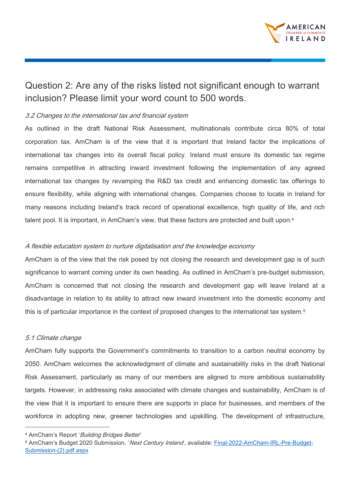

### Question 2: Are any of the risks listed not significant enough to warrant inclusion? Please limit your word count to 500 words.

#### 3.2 Changes to the international tax and financial system

As outlined in the draft National Risk Assessment, multinationals contribute circa 80% of total corporation tax. AmCham is of the view that it is important that Ireland factor the implications of international tax changes into its overall fiscal policy. Ireland must ensure its domestic tax regime remains competitive in attracting inward investment following the implementation of any agreed international tax changes by revamping the R&D tax credit and enhancing domestic tax offerings to ensure flexibility, while aligning with international changes. Companies choose to locate in Ireland for many reasons including Ireland's track record of operational excellence, high quality of life, and rich talent pool. It is important, in AmCham's view, that these factors are protected and built upon.<sup>4</sup>

#### A flexible education system to nurture digitalisation and the knowledge economy

AmCham is of the view that the risk posed by not closing the research and development gap is of such significance to warrant coming under its own heading. As outlined in AmCham's pre-budget submission, AmCham is concerned that not closing the research and development gap will leave Ireland at a disadvantage in relation to its ability to attract new inward investment into the domestic economy and this is of particular importance in the context of proposed changes to the international tax system.<sup>5</sup>

#### 5.1 Climate change

AmCham fully supports the Government's commitments to transition to a carbon neutral economy by 2050. AmCham welcomes the acknowledgment of climate and sustainability risks in the draft National Risk Assessment, particularly as many of our members are aligned to more ambitious sustainability targets. However, in addressing risks associated with climate changes and sustainability, AmCham is of the view that it is important to ensure there are supports in place for businesses, and members of the workforce in adopting new, greener technologies and upskilling. The development of infrastructure,

<sup>4</sup> AmCham's Report 'Building Bridges Better'

<sup>5</sup> AmCham's Budget 2020 Submission, 'Next Century Ireland, available: [Final-2022-AmCham-IRL-Pre-Budget-](https://www.amcham.ie/getattachment/ae263e99-c107-495d-b0ab-d1da96ec8f91/Final-2022-AmCham-IRL-Pre-Budget-Submission-(2).pdf.aspx?ext=.pdf)[Submission-\(2\).pdf.aspx](https://www.amcham.ie/getattachment/ae263e99-c107-495d-b0ab-d1da96ec8f91/Final-2022-AmCham-IRL-Pre-Budget-Submission-(2).pdf.aspx?ext=.pdf)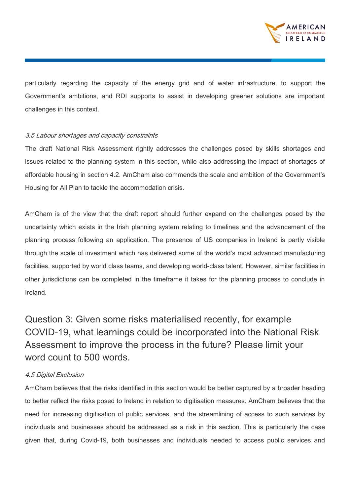

particularly regarding the capacity of the energy grid and of water infrastructure, to support the Government's ambitions, and RDI supports to assist in developing greener solutions are important challenges in this context.

#### 3.5 Labour shortages and capacity constraints

The draft National Risk Assessment rightly addresses the challenges posed by skills shortages and issues related to the planning system in this section, while also addressing the impact of shortages of affordable housing in section 4.2. AmCham also commends the scale and ambition of the Government's Housing for All Plan to tackle the accommodation crisis.

AmCham is of the view that the draft report should further expand on the challenges posed by the uncertainty which exists in the Irish planning system relating to timelines and the advancement of the planning process following an application. The presence of US companies in Ireland is partly visible through the scale of investment which has delivered some of the world's most advanced manufacturing facilities, supported by world class teams, and developing world-class talent. However, similar facilities in other jurisdictions can be completed in the timeframe it takes for the planning process to conclude in Ireland.

Question 3: Given some risks materialised recently, for example COVID-19, what learnings could be incorporated into the National Risk Assessment to improve the process in the future? Please limit your word count to 500 words.

#### 4.5 Digital Exclusion

AmCham believes that the risks identified in this section would be better captured by a broader heading to better reflect the risks posed to Ireland in relation to digitisation measures. AmCham believes that the need for increasing digitisation of public services, and the streamlining of access to such services by individuals and businesses should be addressed as a risk in this section. This is particularly the case given that, during Covid-19, both businesses and individuals needed to access public services and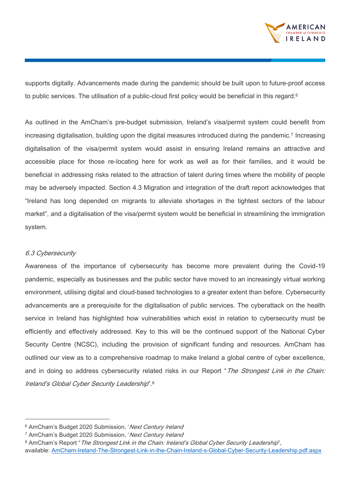

supports digitally. Advancements made during the pandemic should be built upon to future-proof access to public services. The utilisation of a public-cloud first policy would be beneficial in this regard.<sup>6</sup>

As outlined in the AmCham's pre-budget submission, Ireland's visa/permit system could benefit from increasing digitalisation, building upon the digital measures introduced during the pandemic.<sup>7</sup> Increasing digitalisation of the visa/permit system would assist in ensuring Ireland remains an attractive and accessible place for those re-locating here for work as well as for their families, and it would be beneficial in addressing risks related to the attraction of talent during times where the mobility of people may be adversely impacted. Section 4.3 Migration and integration of the draft report acknowledges that "Ireland has long depended on migrants to alleviate shortages in the tightest sectors of the labour market", and a digitalisation of the visa/permit system would be beneficial in streamlining the immigration system.

#### 6.3 Cybersecurity

Awareness of the importance of cybersecurity has become more prevalent during the Covid-19 pandemic, especially as businesses and the public sector have moved to an increasingly virtual working environment, utilising digital and cloud-based technologies to a greater extent than before. Cybersecurity advancements are a prerequisite for the digitalisation of public services. The cyberattack on the health service in Ireland has highlighted how vulnerabilities which exist in relation to cybersecurity must be efficiently and effectively addressed. Key to this will be the continued support of the National Cyber Security Centre (NCSC), including the provision of significant funding and resources. AmCham has outlined our view as to a comprehensive roadmap to make Ireland a global centre of cyber excellence, and in doing so address cybersecurity related risks in our Report "The Strongest Link in the Chain: Ireland's Global Cyber Security Leadership".<sup>8</sup>

<sup>&</sup>lt;sup>6</sup> AmCham's Budget 2020 Submission, 'Next Century Ireland'

<sup>&</sup>lt;sup>7</sup> AmCham's Budget 2020 Submission, 'Next Century Ireland'

<sup>8</sup> AmCham's Report "The Strongest Link in the Chain: Ireland's Global Cyber Security Leadership",

available: [AmCham-Ireland-The-Strongest-Link-in-the-Chain-Ireland-s-Global-Cyber-Security-Leadership.pdf.aspx](https://www.amcham.ie/getattachment/555c3301-643a-4a90-b05f-5bf05a966cb1/AmCham-Ireland-The-Strongest-Link-in-the-Chain-Ireland-s-Global-Cyber-Security-Leadership.pdf.aspx?ext=.pdf)